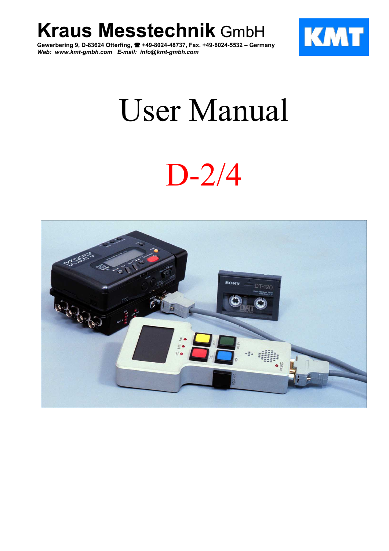**Kraus Messtechnik** GmbH

**Gewerbering 9, D-83624 Otterfing, +49-8024-48737, Fax. +49-8024-5532 – Germany** *Web: www.kmt-gmbh.com E-mail: info@kmt-gmbh.com*



# User Manual

# $D-2/4$

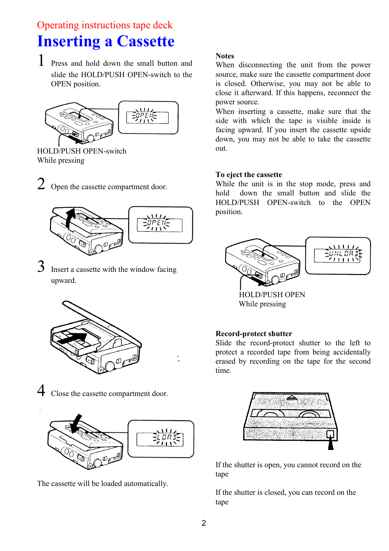### Operating instructions tape deck **Inserting a Cassette**

1 Press and hold down the small button and slide the HOLD/PUSH OPEN-switch to the OPEN position.



HOLD/PUSH OPEN-switch While pressing

2 Open the cassette compartment door.



Insert a cassette with the window facing upward.



4 Close the cassette compartment door.



The cassette will be loaded automatically.

#### **Notes**

When disconnecting the unit from the power source, make sure the cassette compartment door is closed. Otherwise, you may not be able to close it afterward. If this happens, reconnect the power source.

When inserting a cassette, make sure that the side with which the tape is visible inside is facing upward. If you insert the cassette upside down, you may not be able to take the cassette out.

#### **To eject the cassette**

While the unit is in the stop mode, press and hold down the small button and slide the HOLD/PUSH OPEN-switch to the OPEN position.



HOLD/PUSH OPEN While pressing

#### **Record-protect shutter**

Slide the record-protect shutter to the left to protect a recorded tape from being accidentally erased by recording on the tape for the second time.



If the shutter is open, you cannot record on the tape

If the shutter is closed, you can record on the tape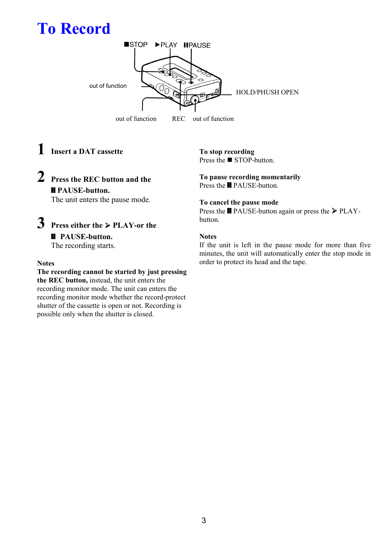## **To Record**



### **1 Insert a DAT cassette**

### **2 Press the REC button and the** ❙❙ **PAUSE-button.**

The unit enters the pause mode.

### **3 Press either the** ¾ **PLAY-or the Ⅱ PAUSE-button.** The recording starts.

#### **Notes**

**The recording cannot be started by just pressing the REC button,** instead, the unit enters the recording monitor mode. The unit can enters the recording monitor mode whether the record-protect shutter of the cassette is open or not. Recording is possible only when the shutter is closed.

### **To stop recording**

Press the  $\blacksquare$  STOP-button.

#### **To pause recording momentarily** Press the <u>■</u> PAUSE-button.

#### **To cancel the pause mode**

Press the  $\blacksquare$  PAUSE-button again or press the  $\triangleright$  PLAYbutton.

#### **Notes**

If the unit is left in the pause mode for more than five minutes, the unit will automatically enter the stop mode in order to protect its head and the tape.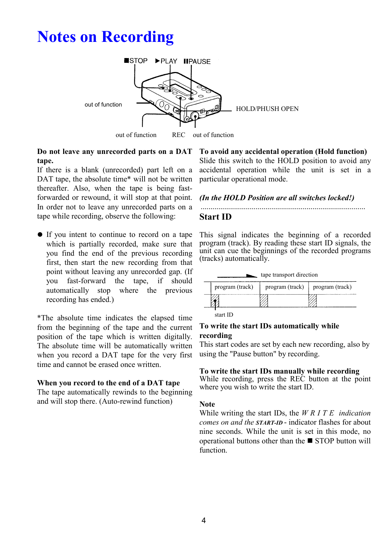### **Notes on Recording**



out of function REC out of function REC

#### **Do not leave any unrecorded parts on a DAT tape.**

If there is a blank (unrecorded) part left on a DAT tape, the absolute time\* will not be written thereafter. Also, when the tape is being fastforwarded or rewound, it will stop at that point. In order not to leave any unrecorded parts on a tape while recording, observe the following:

• If you intent to continue to record on a tape which is partially recorded, make sure that you find the end of the previous recording first, then start the new recording from that point without leaving any unrecorded gap. (If you fast-forward the tape, if should automatically stop where the previous recording has ended.)

\*The absolute time indicates the elapsed time from the beginning of the tape and the current position of the tape which is written digitally. The absolute time will be automatically written when you record a DAT tape for the very first time and cannot be erased once written.

#### **When you record to the end of a DAT tape**

The tape automatically rewinds to the beginning and will stop there. (Auto-rewind function)

#### **To avoid any accidental operation (Hold function)**

Slide this switch to the HOLD position to avoid any accidental operation while the unit is set in a particular operational mode.

#### *(In the HOLD Position are all switches locked!)*

### **Start ID**

This signal indicates the beginning of a recorded program (track). By reading these start ID signals, the unit can cue the beginnings of the recorded programs (tracks) automatically.

| tape transport direction |                 |                 |  |  |
|--------------------------|-----------------|-----------------|--|--|
| program (track)          | program (track) | program (track) |  |  |
|                          |                 |                 |  |  |

start ID

#### **To write the start IDs automatically while recording**

This start codes are set by each new recording, also by using the "Pause button" by recording.

#### **To write the start IDs manually while recording**

While recording, press the REC button at the point where you wish to write the start ID.

#### **Note**

While writing the start IDs, the *W R I T E indication comes on and the START-ID* - indicator flashes for about nine seconds. While the unit is set in this mode, no operational buttons other than the  $\blacksquare$  STOP button will function.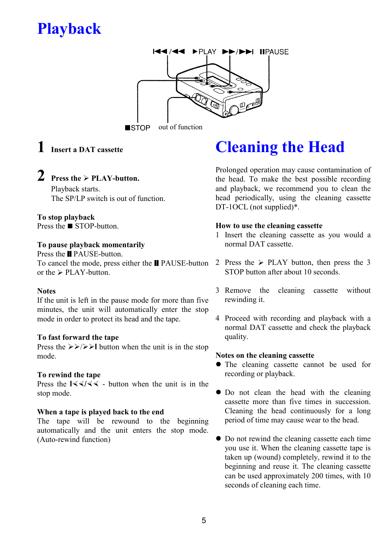### **Playback**



out of function  $\blacksquare$ STOP

### **1 Insert a DAT cassette**

### **2 Press the**  $\geq$  **<b>PLAY-button.**

Playback starts. The SP/LP switch is out of function.

**To stop playback** Press the  $\blacksquare$  STOP-button.

#### **To pause playback momentarily**

Press the **Ⅱ** PAUSE-button. To cancel the mode, press either the **Ⅱ** PAUSE-button 2 Press the  $\geq$  PLAY button, then press the 3 or the  $\triangleright$  PLAY-button.

#### **Notes**

If the unit is left in the pause mode for more than five minutes, the unit will automatically enter the stop mode in order to protect its head and the tape.

#### **To fast forward the tape**

Press the  $\gg$   $\gg$   $\gg$  I button when the unit is in the stop mode.

#### **To rewind the tape**

Press the  $\frac{1}{3}$  / $\frac{1}{3}$  - button when the unit is in the stop mode.

#### **When a tape is played back to the end**

The tape will be rewound to the beginning automatically and the unit enters the stop mode. (Auto-rewind function)

### **Cleaning the Head**

Prolonged operation may cause contamination of the head. To make the best possible recording and playback, we recommend you to clean the head periodically, using the cleaning cassette DT-1OCL (not supplied)\*.

#### **How to use the cleaning cassette**

- 1 Insert the cleaning cassette as you would a normal DAT cassette.
- STOP button after about 10 seconds.
- 3 Remove the cleaning cassette without rewinding it.
- 4 Proceed with recording and playback with a normal DAT cassette and check the playback quality.

#### **Notes on the cleaning cassette**

- The cleaning cassette cannot be used for recording or playback.
- Do not clean the head with the cleaning cassette more than five times in succession. Cleaning the head continuously for a long period of time may cause wear to the head.
- Do not rewind the cleaning cassette each time you use it. When the cleaning cassette tape is taken up (wound) completely, rewind it to the beginning and reuse it. The cleaning cassette can be used approximately 200 times, with 10 seconds of cleaning each time.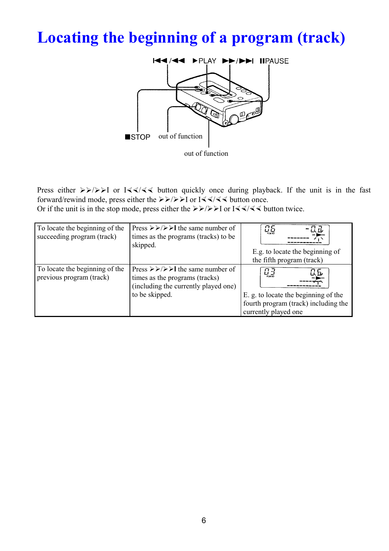## **Locating the beginning of a program (track)**



Press either  $\triangleright \triangleright / \triangleright$  I or I $\triangleleft \triangleleft \triangleleft \triangleleft \triangleright$  button quickly once during playback. If the unit is in the fast forward/rewind mode, press either the  $\triangleright \triangleright / \triangleright$  I or I $\triangleleft \triangle / \triangleleft \triangleleft$  button once.

Or if the unit is in the stop mode, press either the  $\triangleright \triangleright / \triangleright \triangleright$  I or I $\triangleleft \triangleleft \triangleleft \triangleleft \triangleright$  button twice.

| To locate the beginning of the<br>succeeding program (track) | Press $\triangleright \triangleright / \triangleright \triangleright$ the same number of<br>times as the programs (tracks) to be<br>skipped.                                         | $\mathcal{L}$<br>E.g. to locate the beginning of<br>the fifth program (track)                                                                                                                                                                                                                                                                                                                                                                                                                                                                                                                                           |
|--------------------------------------------------------------|--------------------------------------------------------------------------------------------------------------------------------------------------------------------------------------|-------------------------------------------------------------------------------------------------------------------------------------------------------------------------------------------------------------------------------------------------------------------------------------------------------------------------------------------------------------------------------------------------------------------------------------------------------------------------------------------------------------------------------------------------------------------------------------------------------------------------|
| To locate the beginning of the<br>previous program (track)   | Press $\triangleright \triangleright / \triangleright \triangleright$ the same number of<br>times as the programs (tracks)<br>(including the currently played one)<br>to be skipped. | $\frac{\prod\limits_{\ell\in\mathcal{M}}\prod\limits_{\ell\in\mathcal{M}}\prod\limits_{\ell\in\mathcal{M}}\prod\limits_{\ell\in\mathcal{M}}\prod\limits_{\ell\in\mathcal{M}}\prod\limits_{\ell\in\mathcal{M}}\prod\limits_{\ell\in\mathcal{M}}\prod\limits_{\ell\in\mathcal{M}}\prod\limits_{\ell\in\mathcal{M}}\prod\limits_{\ell\in\mathcal{M}}\prod\limits_{\ell\in\mathcal{M}}\prod\limits_{\ell\in\mathcal{M}}\prod\limits_{\ell\in\mathcal{M}}\prod\limits_{\ell\in\mathcal{M}}\prod\limits_{\ell\$<br>ΩБ<br>E. g. to locate the beginning of the<br>fourth program (track) including the<br>currently played one |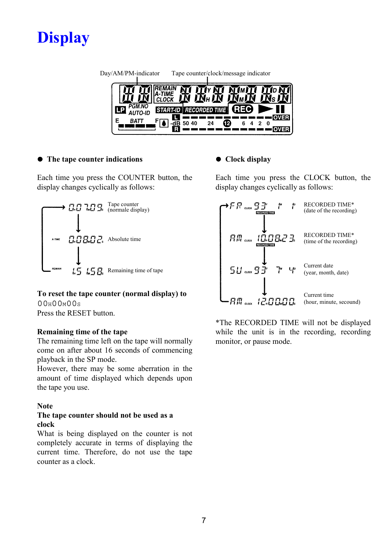

| Day/AM/PM-indicator |        |                 |       | Tape counter/clock/message indicator |    |       |        |  |
|---------------------|--------|-----------------|-------|--------------------------------------|----|-------|--------|--|
|                     |        |                 |       | $\mathbf{\bar{M}}_{\mathrm{H}}$ (    |    |       |        |  |
|                     | PGM.NO | <b>START-ID</b> |       | <b>RECORDED TIME</b>                 |    | (REC) |        |  |
| E                   |        |                 | 50 40 | 24                                   | 12 | 6     | າ<br>0 |  |

#### $\bullet$  The tape counter indications

Each time you press the COUNTER button, the display changes cyclically as follows:



#### **To reset the tape counter (normal display) to**  $0.0H00M00s$ Press the RESET button.

#### **Remaining time of the tape**

The remaining time left on the tape will normally come on after about 16 seconds of commencing playback in the SP mode.

However, there may be some aberration in the amount of time displayed which depends upon the tape you use.

#### **Note**

#### **The tape counter should not be used as a clock**

What is being displayed on the counter is not completely accurate in terms of displaying the current time. Therefore, do not use the tape counter as a clock.

#### ● Clock display

Each time you press the CLOCK button, the display changes cyclically as follows:

| ŧо<br>ıм<br>・FF aocx 9子<br><b>RECORDED TIME</b>                      | <b>RECORDED TIME*</b><br>(date of the recording) |
|----------------------------------------------------------------------|--------------------------------------------------|
| AM  10.08.23.<br><b>RECORDED TIME</b>                                | <b>RECORDED TIME*</b><br>(time of the recording) |
| டி<br>$\tilde{I}''$<br>$5$ <i>Ll</i> aock $9$ $\bar{3}$ <sup>r</sup> | Current date<br>(year, month, date)              |
|                                                                      | Current time<br>(hour, minute, secound)          |

\*The RECORDED TIME will not be displayed while the unit is in the recording, recording monitor, or pause mode.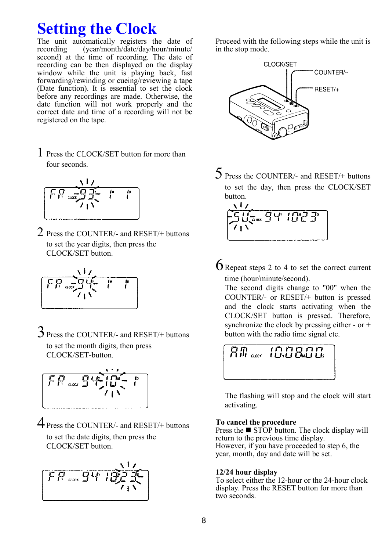### **Setting the Clock**

The unit automatically registers the date of recording (year/month/date/day/hour/minute/ second) at the time of recording. The date of recording can be then displayed on the display window while the unit is playing back, fast forwarding/rewinding or cueing/reviewing a tape (Date function). It is essential to set the clock before any recordings are made. Otherwise, the date function will not work properly and the correct date and time of a recording will not be registered on the tape.

1 Press the CLOCK/SET button for more than four seconds.

$$
\begin{array}{|c|c|c|}\n\hline\n\end{array}
$$

2 Press the COUNTER/- and RESET/+ buttons to set the year digits, then press the CLOCK/SET button.

$$
\begin{array}{c|c}\n\hline\n\end{array}
$$

3 Press the COUNTER/- and RESET/+ buttons to set the month digits, then press CLOCK/SET-button.



4 Press the COUNTER/- and RESET/+ buttons to set the date digits, then press the CLOCK/SET button.



Proceed with the following steps while the unit is in the stop mode.



5 Press the COUNTER/- and RESET/+ buttons to set the day, then press the CLOCK/SET button.

$$
\left[\frac{1}{\frac{1}{\sqrt{2}}}\right]^{\frac{1}{\sqrt{2}}}
$$

 $6R$  Repeat steps 2 to 4 to set the correct current time (hour/minute/second).

The second digits change to "00" when the COUNTER/- or RESET/+ button is pressed and the clock starts activating when the CLOCK/SET button is pressed. Therefore, synchronize the clock by pressing either - or + button with the radio time signal etc.

$$
\boxed{\text{Fill}\text{ acc}\left(\boxed{\text{LITALG}}\right)}
$$

The flashing will stop and the clock will start activating.

#### **To cancel the procedure**

Press the  $\blacksquare$  STOP button. The clock display will return to the previous time display. However, if you have proceeded to step 6, the year, month, day and date will be set.

#### **12/24 hour display**

To select either the 12-hour or the 24-hour clock display. Press the RESET button for more than two seconds.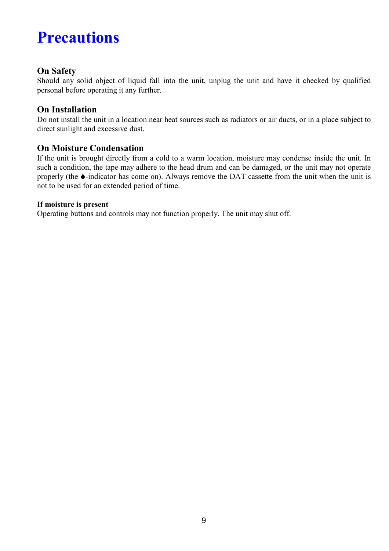### **Precautions**

#### **On Safety**

Should any solid object of liquid fall into the unit, unplug the unit and have it checked by qualified personal before operating it any further.

#### **On Installation**

Do not install the unit in a location near heat sources such as radiators or air ducts, or in a place subject to direct sunlight and excessive dust.

#### **On Moisture Condensation**

If the unit is brought directly from a cold to a warm location, moisture may condense inside the unit. In such a condition, the tape may adhere to the head drum and can be damaged, or the unit may not operate properly (the 6-indicator has come on). Always remove the DAT cassette from the unit when the unit is not to be used for an extended period of time.

#### **If moisture is present**

Operating buttons and controls may not function properly. The unit may shut off.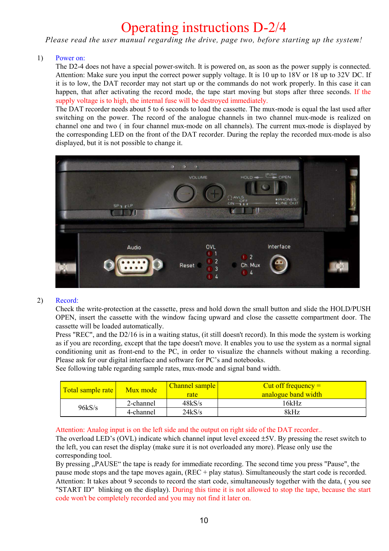### Operating instructions D-2/4

*Please read the user manual regarding the drive, page two, before starting up the system!*

#### 1) Power on:

The D2-4 does not have a special power-switch. It is powered on, as soon as the power supply is connected. Attention: Make sure you input the correct power supply voltage. It is 10 up to 18V or 18 up to 32V DC. If it is to low, the DAT recorder may not start up or the commands do not work properly. In this case it can happen, that after activating the record mode, the tape start moving but stops after three seconds. If the supply voltage is to high, the internal fuse will be destroyed immediately.

The DAT recorder needs about 5 to 6 seconds to load the cassette. The mux-mode is equal the last used after switching on the power. The record of the analogue channels in two channel mux-mode is realized on channel one and two ( in four channel mux-mode on all channels). The current mux-mode is displayed by the corresponding LED on the front of the DAT recorder. During the replay the recorded mux-mode is also displayed, but it is not possible to change it.



#### 2) Record:

Check the write-protection at the cassette, press and hold down the small button and slide the HOLD/PUSH OPEN, insert the cassette with the window facing upward and close the cassette compartment door. The cassette will be loaded automatically.

Press "REC", and the D2/16 is in a waiting status, (it still doesn't record). In this mode the system is working as if you are recording, except that the tape doesn't move. It enables you to use the system as a normal signal conditioning unit as front-end to the PC, in order to visualize the channels without making a recording. Please ask for our digital interface and software for PC's and notebooks.

See following table regarding sample rates, mux-mode and signal band width.

| Total sample rate | Mux mode  | <b>Channel sample</b><br>rate | Cut off frequency $=$<br>analogue band width |
|-------------------|-----------|-------------------------------|----------------------------------------------|
| 96kS/s            | 2-channel | 48kS/s                        | 16kHz                                        |
|                   | 4-channel | 24kS/s                        | 8kHz                                         |

Attention: Analog input is on the left side and the output on right side of the DAT recorder..

The overload LED's (OVL) indicate which channel input level exceed  $\pm$ 5V. By pressing the reset switch to the left, you can reset the display (make sure it is not overloaded any more). Please only use the corresponding tool.

By pressing "PAUSE" the tape is ready for immediate recording. The second time you press "Pause", the pause mode stops and the tape moves again, (REC + play status). Simultaneously the start code is recorded. Attention: It takes about 9 seconds to record the start code, simultaneously together with the data, ( you see "START ID" blinking on the display). During this time it is not allowed to stop the tape, because the start code won't be completely recorded and you may not find it later on.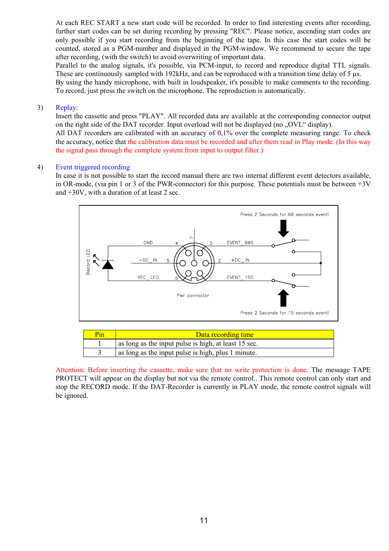At each REC START a new start code will be recorded. In order to find interesting events after recording, further start codes can be set during recording by pressing "REC". Please notice, ascending start codes are only possible if you start recording from the beginning of the tape. In this case the start codes will be counted, stored as a PGM-number and displayed in the PGM-window. We recommend to secure the tape after recording, (with the switch) to avoid overwriting of important data.

Parallel to the analog signals, it's possible, via PCM-input, to record and reproduce digital TTL signals. These are continuously sampled with 192kHz, and can be reproduced with a transition time delay of 5 µs.

By using the handy microphone, with built in loudspeaker, it's possible to make comments to the recording. To record, just press the switch on the microphone. The reproduction is automatically.

#### 3) Replay:

Insert the cassette and press "PLAY". All recorded data are available at the corresponding connector output on the right side of the DAT recorder. Input overload will not be displayed (no ..., OVL" display).

All DAT recorders are calibrated with an accuracy of 0,1% over the complete measuring range. To check the accuracy, notice that the calibration data must be recorded and after them read in Play mode. (In this way the signal pass through the complete system from input to output filter.)

#### 4) Event triggered recording

In case it is not possible to start the record manual there are two internal different event detectors available, in OR-mode, (via pin 1 or 3 of the PWR-connector) for this purpose. These potentials must be between  $+3V$ and +30V, with a duration of at least 2 sec.



|  | as folly as the hip at palse is high, at least 15 see. |
|--|--------------------------------------------------------|
|  | as long as the input pulse is high, plus 1 minute.     |
|  |                                                        |
|  |                                                        |

Attention: Before inserting the cassette, make sure that no write protection is done. The message TAPE PROTECT will appear on the display but not via the remote control.. This remote control can only start and stop the RECORD mode. If the DAT-Recorder is currently in PLAY mode, the remote control signals will be ignored.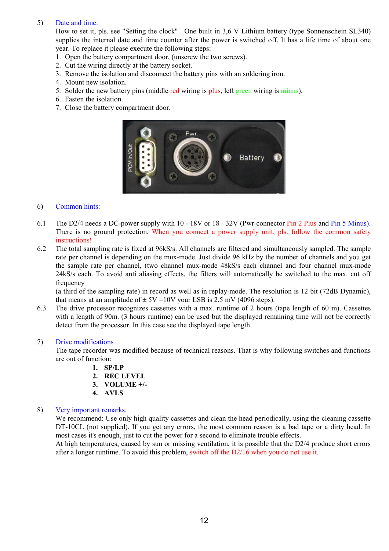#### 5) Date and time:

How to set it, pls. see "Setting the clock" . One built in 3,6 V Lithium battery (type Sonnenschein SL340) supplies the internal date and time counter after the power is switched off. It has a life time of about one year. To replace it please execute the following steps:

- 1. Open the battery compartment door, (unscrew the two screws).
- 2. Cut the wiring directly at the battery socket.
- 3. Remove the isolation and disconnect the battery pins with an soldering iron.
- 4. Mount new isolation.
- 5. Solder the new battery pins (middle red wiring is plus, left green wiring is minus).
- 6. Fasten the isolation.
- 7. Close the battery compartment door.



#### 6) Common hints:

- 6.1 The D2/4 needs a DC-power supply with 10 18V or 18 32V (Pwr-connector Pin 2 Plus and Pin 5 Minus). There is no ground protection. When you connect a power supply unit, pls. follow the common safety instructions!
- 6.2 The total sampling rate is fixed at 96kS/s. All channels are filtered and simultaneously sampled. The sample rate per channel is depending on the mux-mode. Just divide 96 kHz by the number of channels and you get the sample rate per channel, (two channel mux-mode 48kS/s each channel and four channel mux-mode 24kS/s each. To avoid anti aliasing effects, the filters will automatically be switched to the max. cut off frequency

(a third of the sampling rate) in record as well as in replay-mode. The resolution is 12 bit (72dB Dynamic), that means at an amplitude of  $\pm 5V = 10V$  your LSB is 2,5 mV (4096 steps).

6.3 The drive processor recognizes cassettes with a max. runtime of 2 hours (tape length of 60 m). Cassettes with a length of 90m. (3 hours runtime) can be used but the displayed remaining time will not be correctly detect from the processor. In this case see the displayed tape length.

#### 7) Drive modifications

The tape recorder was modified because of technical reasons. That is why following switches and functions are out of function:

- **1. SP/LP**
- **2. REC LEVEL**
- **3. VOLUME +/-**
- **4. AVLS**

#### 8) Very important remarks.

We recommend: Use only high quality cassettes and clean the head periodically, using the cleaning cassette DT-10CL (not supplied). If you get any errors, the most common reason is a bad tape or a dirty head. In most cases it's enough, just to cut the power for a second to eliminate trouble effects.

At high temperatures, caused by sun or missing ventilation, it is possible that the D2/4 produce short errors after a longer runtime. To avoid this problem, switch off the D2/16 when you do not use it.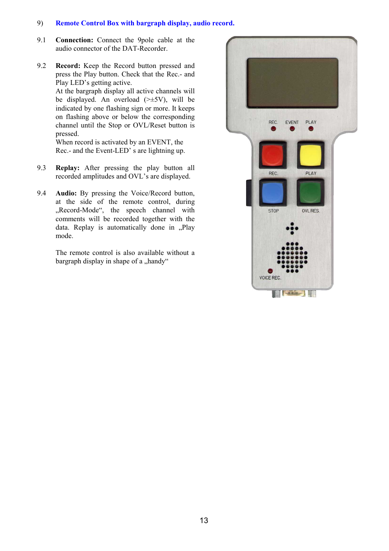#### 9) **Remote Control Box with bargraph display, audio record.**

- 9.1 **Connection:** Connect the 9pole cable at the audio connector of the DAT-Recorder.
- 9.2 **Record:** Keep the Record button pressed and press the Play button. Check that the Rec.- and Play LED's getting active. At the bargraph display all active channels will be displayed. An overload  $(\geq \pm 5V)$ , will be indicated by one flashing sign or more. It keeps on flashing above or below the corresponding channel until the Stop or OVL/Reset button is pressed.

When record is activated by an EVENT, the Rec.- and the Event-LED' s are lightning up.

- 9.3 **Replay:** After pressing the play button all recorded amplitudes and OVL's are displayed.
- 9.4 **Audio:** By pressing the Voice/Record button, at the side of the remote control, during "Record-Mode", the speech channel with comments will be recorded together with the data. Replay is automatically done in .Play mode.

The remote control is also available without a bargraph display in shape of a "handy"

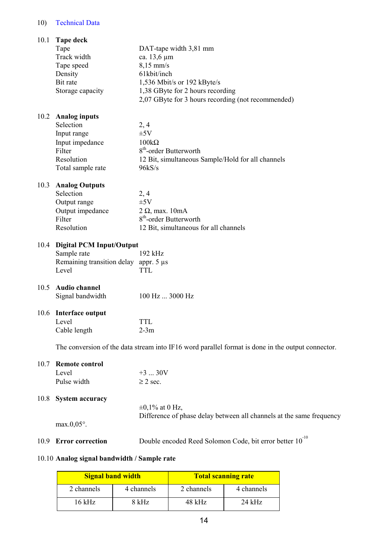#### 10) Technical Data

| 10.1 | Tape deck                                                                                         |                                                                      |  |  |  |
|------|---------------------------------------------------------------------------------------------------|----------------------------------------------------------------------|--|--|--|
|      | Tape                                                                                              | DAT-tape width 3,81 mm                                               |  |  |  |
|      | Track width                                                                                       | ca. 13,6 µm                                                          |  |  |  |
|      | Tape speed                                                                                        | $8,15$ mm/s                                                          |  |  |  |
|      | Density                                                                                           | 61kbit/inch                                                          |  |  |  |
|      | Bit rate                                                                                          | 1,536 Mbit/s or 192 kByte/s                                          |  |  |  |
|      | Storage capacity                                                                                  | 1,38 GByte for 2 hours recording                                     |  |  |  |
|      |                                                                                                   | 2,07 GByte for 3 hours recording (not recommended)                   |  |  |  |
|      |                                                                                                   |                                                                      |  |  |  |
| 10.2 | <b>Analog inputs</b>                                                                              |                                                                      |  |  |  |
|      | Selection                                                                                         | 2, 4                                                                 |  |  |  |
|      | Input range                                                                                       | $\pm 5V$                                                             |  |  |  |
|      | Input impedance                                                                                   | $100k\Omega$                                                         |  |  |  |
|      | Filter                                                                                            | 8 <sup>th</sup> -order Butterworth                                   |  |  |  |
|      | Resolution                                                                                        |                                                                      |  |  |  |
|      |                                                                                                   | 12 Bit, simultaneous Sample/Hold for all channels                    |  |  |  |
|      | Total sample rate                                                                                 | 96kS/s                                                               |  |  |  |
|      |                                                                                                   |                                                                      |  |  |  |
| 10.3 | <b>Analog Outputs</b><br>Selection                                                                |                                                                      |  |  |  |
|      |                                                                                                   | 2, 4                                                                 |  |  |  |
|      | Output range                                                                                      | $\pm 5V$                                                             |  |  |  |
|      | Output impedance                                                                                  | $2 \Omega$ , max. 10mA                                               |  |  |  |
|      | Filter                                                                                            | 8 <sup>th</sup> -order Butterworth                                   |  |  |  |
|      | Resolution                                                                                        | 12 Bit, simultaneous for all channels                                |  |  |  |
|      |                                                                                                   |                                                                      |  |  |  |
| 10.4 | <b>Digital PCM Input/Output</b>                                                                   |                                                                      |  |  |  |
|      | Sample rate                                                                                       | 192 kHz                                                              |  |  |  |
|      | Remaining transition delay appr. 5 µs                                                             |                                                                      |  |  |  |
|      | Level                                                                                             | <b>TTL</b>                                                           |  |  |  |
|      |                                                                                                   |                                                                      |  |  |  |
| 10.5 | <b>Audio channel</b>                                                                              |                                                                      |  |  |  |
|      | Signal bandwidth                                                                                  | 100 Hz  3000 Hz                                                      |  |  |  |
|      |                                                                                                   |                                                                      |  |  |  |
| 10.6 | Interface output                                                                                  |                                                                      |  |  |  |
|      | Level                                                                                             | TTL                                                                  |  |  |  |
|      | Cable length                                                                                      | $2-3m$                                                               |  |  |  |
|      | The conversion of the data stream into IF16 word parallel format is done in the output connector. |                                                                      |  |  |  |
|      |                                                                                                   |                                                                      |  |  |  |
| 10.7 | <b>Remote control</b>                                                                             |                                                                      |  |  |  |
|      | Level                                                                                             | $+3$ 30V                                                             |  |  |  |
|      |                                                                                                   |                                                                      |  |  |  |
|      | Pulse width                                                                                       | $\geq$ 2 sec.                                                        |  |  |  |
|      |                                                                                                   |                                                                      |  |  |  |
| 10.8 | <b>System accuracy</b>                                                                            |                                                                      |  |  |  |
|      |                                                                                                   | $\pm 0,1\%$ at 0 Hz,                                                 |  |  |  |
|      |                                                                                                   | Difference of phase delay between all channels at the same frequency |  |  |  |
|      | $max.0,05^\circ$ .                                                                                |                                                                      |  |  |  |
|      |                                                                                                   | Double encoded Reed Solomon Code, bit error better 10 <sup>-10</sup> |  |  |  |
|      | 10.9 Error correction                                                                             |                                                                      |  |  |  |

#### 10.10 **Analog signal bandwidth / Sample rate**

| <b>Signal band width</b> |            | <b>Total scanning rate</b> |            |  |  |
|--------------------------|------------|----------------------------|------------|--|--|
| 2 channels               | 4 channels | 2 channels                 | 4 channels |  |  |
| 16 kHz                   | 8 kHz      | $48$ kHz                   | $24$ kHz   |  |  |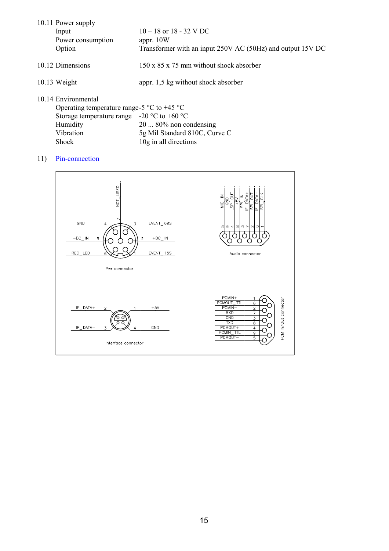| 10.11 Power supply<br>Input<br>Power consumption<br>Option                                                                                      | $10 - 18$ or $18 - 32$ V DC<br>appr. $10W$<br>Transformer with an input 250V AC (50Hz) and output 15V DC |
|-------------------------------------------------------------------------------------------------------------------------------------------------|----------------------------------------------------------------------------------------------------------|
| 10.12 Dimensions                                                                                                                                | $150 \times 85 \times 75$ mm without shock absorber                                                      |
| $10.13$ Weight                                                                                                                                  | appr. 1,5 kg without shock absorber                                                                      |
| 10.14 Environmental<br>Operating temperature range-5 $\degree$ C to +45 $\degree$ C<br>Storage temperature range $-20$ °C to +60 °C<br>Humidity | $2080\%$ non condensing                                                                                  |

Vibration 5g Mil Standard 810C, Curve C

Shock 10g in all directions

#### 11) Pin-connection